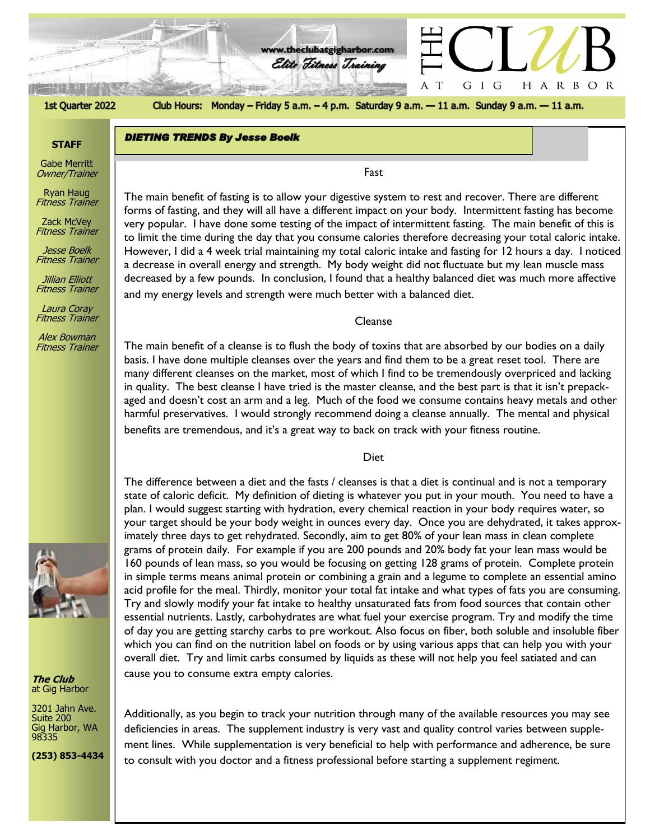

#### 1st Quarter 2022

Club Hours: Monday - Friday 5 a.m. - 4 p.m. Saturday 9 a.m. - 11 a.m. Sunday 9 a.m. - 11 a.m.

#### **STAFF**

Gabe Merritt Owner/Trainer

Ryan Haug Fitness Trainer

Zack McVey Fitness Trainer

Jesse Boelk Fitness Trainer

Jillian Elliott Fitness Trainer

Laura Coray

Alex Bowman

**DIETING TRENDS By Jesse Boelk** 

Fitness Trainer

Fitness Trainer



**The Club** at Gig Harbor

3201 Jahn Ave. Suite 200 Gig Harbor, WA 98335

**(253) 853-4434**

The main benefit of fasting is to allow your digestive system to rest and recover. There are different<br>forms of fasting, and thou will all have a different impact on your hody. Intermittent fasting has becau forms of fasting, and they will all have a different impact on your body. Intermittent fasting has become very popular. I have done some testing of the impact of intermittent fasting. The main benefit of this is to limit the time during the day that you consume calories therefore decreasing your total caloric intake. However, I did a 4 week trial maintaining my total caloric intake and fasting for 12 hours a day. I noticed a decrease in overall energy and strength. My body weight did not fluctuate but my lean muscle mass decreased by a few pounds. In conclusion, I found that a healthy balanced diet was much more affective and my energy levels and strength were much better with a balanced diet.

Fast

Cleanse

The main benefit of a cleanse is to flush the body of toxins that are absorbed by our bodies on a daily basis. I have done multiple cleanses over the years and find them to be a great reset tool. There are many different cleanses on the market, most of which I find to be tremendously overpriced and lacking in quality. The best cleanse I have tried is the master cleanse, and the best part is that it isn't prepackaged and doesn't cost an arm and a leg. Much of the food we consume contains heavy metals and other harmful preservatives. I would strongly recommend doing a cleanse annually. The mental and physical benefits are tremendous, and it's a great way to back on track with your fitness routine.

Diet

The difference between a diet and the fasts / cleanses is that a diet is continual and is not a temporary state of caloric deficit. My definition of dieting is whatever you put in your mouth. You need to have a plan. I would suggest starting with hydration, every chemical reaction in your body requires water, so your target should be your body weight in ounces every day. Once you are dehydrated, it takes approximately three days to get rehydrated. Secondly, aim to get 80% of your lean mass in clean complete grams of protein daily. For example if you are 200 pounds and 20% body fat your lean mass would be 160 pounds of lean mass, so you would be focusing on getting 128 grams of protein. Complete protein in simple terms means animal protein or combining a grain and a legume to complete an essential amino acid profile for the meal. Thirdly, monitor your total fat intake and what types of fats you are consuming. Try and slowly modify your fat intake to healthy unsaturated fats from food sources that contain other essential nutrients. Lastly, carbohydrates are what fuel your exercise program. Try and modify the time of day you are getting starchy carbs to pre workout. Also focus on fiber, both soluble and insoluble fiber which you can find on the nutrition label on foods or by using various apps that can help you with your overall diet. Try and limit carbs consumed by liquids as these will not help you feel satiated and can cause you to consume extra empty calories.

Additionally, as you begin to track your nutrition through many of the available resources you may see deficiencies in areas. The supplement industry is very vast and quality control varies between supplement lines. While supplementation is very beneficial to help with performance and adherence, be sure to consult with you doctor and a fitness professional before starting a supplement regiment.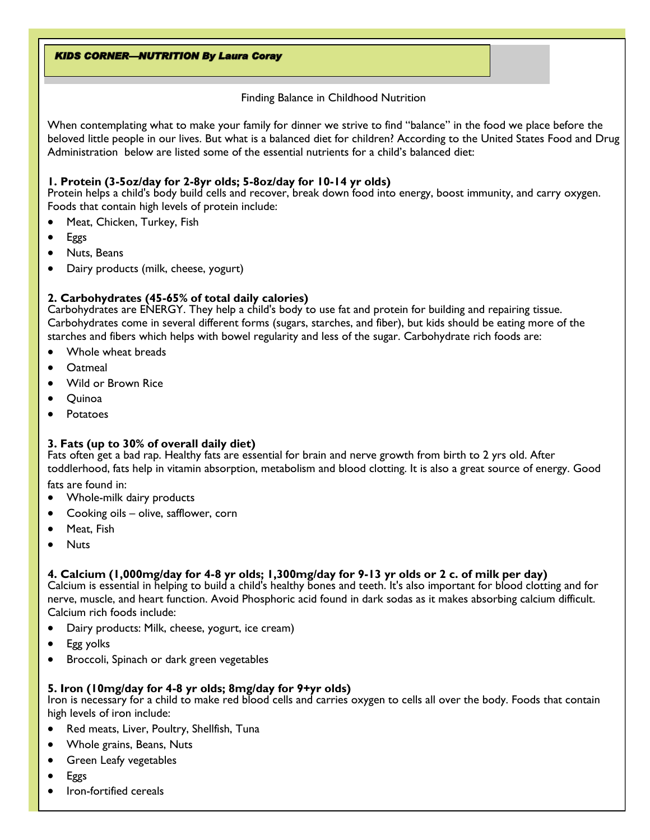#### Finding Balance in Childhood Nutrition

When contemplating what to make your family for dinner we strive to find "balance" in the food we place before the beloved little people in our lives. But what is a balanced diet for children? According to the United States Food and Drug Administration below are listed some of the essential nutrients for a child's balanced diet:

# **1. Protein (3-5oz/day for 2-8yr olds; 5-8oz/day for 10-14 yr olds)**

Protein helps a child's body build cells and recover, break down food into energy, boost immunity, and carry oxygen. Foods that contain high levels of protein include:

- Meat, Chicken, Turkey, Fish
- Eggs
- Nuts, Beans
- Dairy products (milk, cheese, yogurt)

# **2. Carbohydrates (45-65% of total daily calories)**

Carbohydrates are ENERGY. They help a child's body to use fat and protein for building and repairing tissue. Carbohydrates come in several different forms (sugars, starches, and fiber), but kids should be eating more of the starches and fibers which helps with bowel regularity and less of the sugar. Carbohydrate rich foods are:

- Whole wheat breads
- Oatmeal
- Wild or Brown Rice
- Quinoa
- **Potatoes**

# **3. Fats (up to 30% of overall daily diet)**

Fats often get a bad rap. Healthy fats are essential for brain and nerve growth from birth to 2 yrs old. After toddlerhood, fats help in vitamin absorption, metabolism and blood clotting. It is also a great source of energy. Good fats are found in:

- Whole-milk dairy products
- Cooking oils olive, safflower, corn
- Meat, Fish
- Nuts

# **4. Calcium (1,000mg/day for 4-8 yr olds; 1,300mg/day for 9-13 yr olds or 2 c. of milk per day)**

Calcium is essential in helping to build a child's healthy bones and teeth. It's also important for blood clotting and for nerve, muscle, and heart function. Avoid Phosphoric acid found in dark sodas as it makes absorbing calcium difficult. Calcium rich foods include:

- Dairy products: Milk, cheese, yogurt, ice cream)
- Egg yolks
- Broccoli, Spinach or dark green vegetables

# **5. Iron (10mg/day for 4-8 yr olds; 8mg/day for 9+yr olds)**

Iron is necessary for a child to make red blood cells and carries oxygen to cells all over the body. Foods that contain high levels of iron include:

- Red meats, Liver, Poultry, Shellfish, Tuna
- Whole grains, Beans, Nuts
- Green Leafy vegetables
- Eggs
- Iron-fortified cereals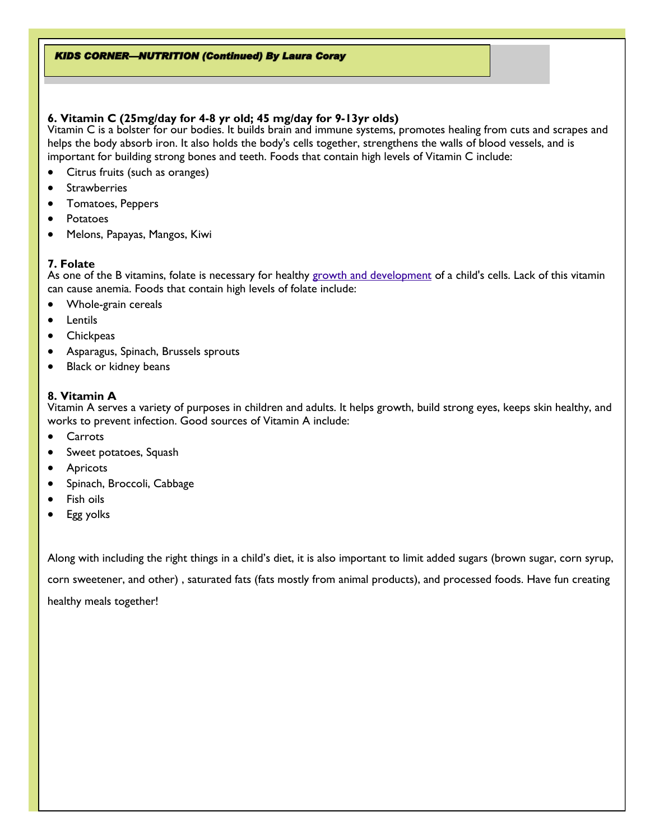#### **KIDS CORNER-NUTRITION (Continued) By Laura Coray**

# **6. Vitamin C (25mg/day for 4-8 yr old; 45 mg/day for 9-13yr olds)**

Vitamin C is a bolster for our bodies. It builds brain and immune systems, promotes healing from cuts and scrapes and helps the body absorb iron. It also holds the body's cells together, strengthens the walls of blood vessels, and is important for building strong bones and teeth. Foods that contain high levels of Vitamin C include:

- Citrus fruits (such as oranges)
- **Strawberries**
- Tomatoes, Peppers
- Potatoes
- Melons, Papayas, Mangos, Kiwi

#### **7. Folate**

As one of the B vitamins, folate is necessary for healthy [growth and development](https://www.parents.com/baby/development/growth/) of a child's cells. Lack of this vitamin can cause anemia. Foods that contain high levels of folate include:

- Whole-grain cereals
- Lentils
- **Chickpeas**
- Asparagus, Spinach, Brussels sprouts
- Black or kidney beans

# **8. Vitamin A**

Vitamin A serves a variety of purposes in children and adults. It helps growth, build strong eyes, keeps skin healthy, and works to prevent infection. Good sources of Vitamin A include:

- Carrots
- Sweet potatoes, Squash
- **Apricots**
- Spinach, Broccoli, Cabbage
- Fish oils
- Egg yolks

Along with including the right things in a child's diet, it is also important to limit added sugars (brown sugar, corn syrup,

corn sweetener, and other) , saturated fats (fats mostly from animal products), and processed foods. Have fun creating

healthy meals together!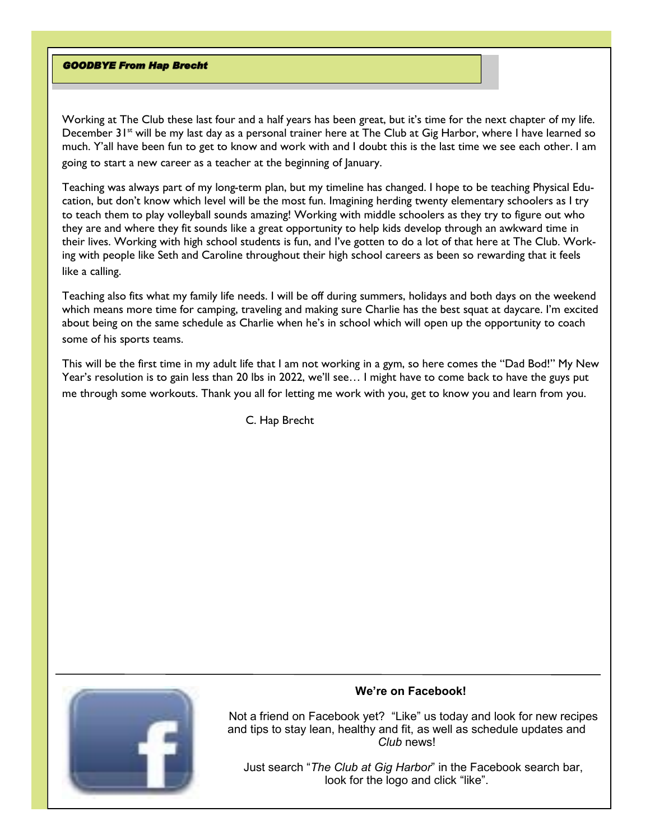#### **GOODBYE From Hap Brecht**

Working at The Club these last four and a half years has been great, but it's time for the next chapter of my life. December  $31<sup>st</sup>$  will be my last day as a personal trainer here at The Club at Gig Harbor, where I have learned so much. Y'all have been fun to get to know and work with and I doubt this is the last time we see each other. I am going to start a new career as a teacher at the beginning of January.

Teaching was always part of my long-term plan, but my timeline has changed. I hope to be teaching Physical Education, but don't know which level will be the most fun. Imagining herding twenty elementary schoolers as I try to teach them to play volleyball sounds amazing! Working with middle schoolers as they try to figure out who they are and where they fit sounds like a great opportunity to help kids develop through an awkward time in their lives. Working with high school students is fun, and I've gotten to do a lot of that here at The Club. Working with people like Seth and Caroline throughout their high school careers as been so rewarding that it feels like a calling.

Teaching also fits what my family life needs. I will be off during summers, holidays and both days on the weekend which means more time for camping, traveling and making sure Charlie has the best squat at daycare. I'm excited about being on the same schedule as Charlie when he's in school which will open up the opportunity to coach some of his sports teams.

This will be the first time in my adult life that I am not working in a gym, so here comes the "Dad Bod!" My New Year's resolution is to gain less than 20 lbs in 2022, we'll see… I might have to come back to have the guys put me through some workouts. Thank you all for letting me work with you, get to know you and learn from you.

C. Hap Brecht



#### **We're on Facebook!**

 Not a friend on Facebook yet? "Like" us today and look for new recipes and tips to stay lean, healthy and fit, as well as schedule updates and *Club* news!

 Just search "*The Club at Gig Harbor*" in the Facebook search bar, look for the logo and click "like".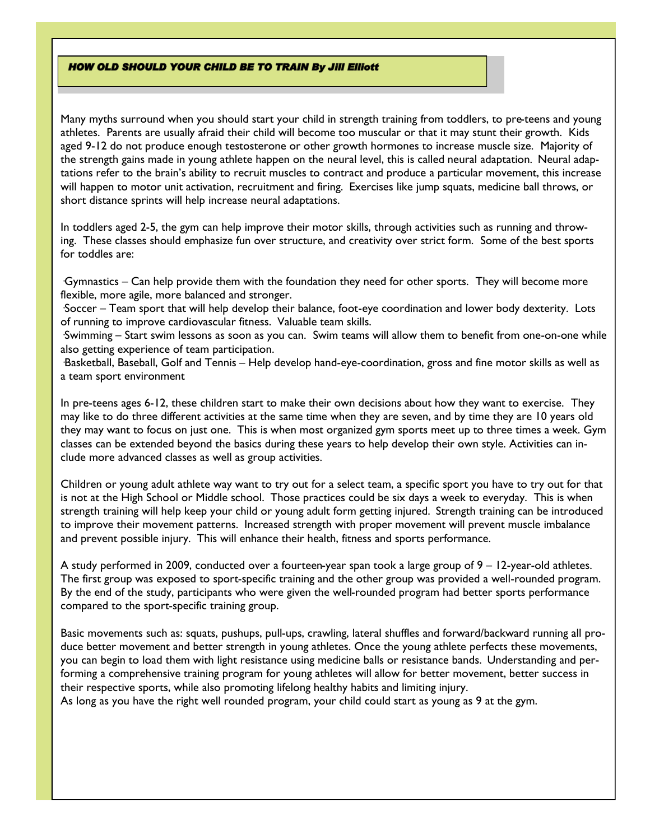#### **HOW OLD SHOULD YOUR CHILD BE TO TRAIN By Jill Elliott**

Many myths surround when you should start your child in strength training from toddlers, to pre-teens and young athletes. Parents are usually afraid their child will become too muscular or that it may stunt their growth. Kids aged 9-12 do not produce enough testosterone or other growth hormones to increase muscle size. Majority of the strength gains made in young athlete happen on the neural level, this is called neural adaptation. Neural adaptations refer to the brain's ability to recruit muscles to contract and produce a particular movement, this increase will happen to motor unit activation, recruitment and firing. Exercises like jump squats, medicine ball throws, or short distance sprints will help increase neural adaptations.

In toddlers aged 2-5, the gym can help improve their motor skills, through activities such as running and throwing. These classes should emphasize fun over structure, and creativity over strict form. Some of the best sports for toddles are:

·Gymnastics – Can help provide them with the foundation they need for other sports. They will become more flexible, more agile, more balanced and stronger.

·Soccer – Team sport that will help develop their balance, foot-eye coordination and lower body dexterity. Lots of running to improve cardiovascular fitness. Valuable team skills.

·Swimming – Start swim lessons as soon as you can. Swim teams will allow them to benefit from one-on-one while also getting experience of team participation.

·Basketball, Baseball, Golf and Tennis – Help develop hand-eye-coordination, gross and fine motor skills as well as a team sport environment

In pre-teens ages 6-12, these children start to make their own decisions about how they want to exercise. They may like to do three different activities at the same time when they are seven, and by time they are 10 years old they may want to focus on just one. This is when most organized gym sports meet up to three times a week. Gym classes can be extended beyond the basics during these years to help develop their own style. Activities can include more advanced classes as well as group activities.

Children or young adult athlete way want to try out for a select team, a specific sport you have to try out for that is not at the High School or Middle school. Those practices could be six days a week to everyday. This is when strength training will help keep your child or young adult form getting injured. Strength training can be introduced to improve their movement patterns. Increased strength with proper movement will prevent muscle imbalance and prevent possible injury. This will enhance their health, fitness and sports performance.

A study performed in 2009, conducted over a fourteen-year span took a large group of 9 – 12-year-old athletes. The first group was exposed to sport-specific training and the other group was provided a well-rounded program. By the end of the study, participants who were given the well-rounded program had better sports performance compared to the sport-specific training group.

Basic movements such as: squats, pushups, pull-ups, crawling, lateral shuffles and forward/backward running all produce better movement and better strength in young athletes. Once the young athlete perfects these movements, you can begin to load them with light resistance using medicine balls or resistance bands. Understanding and performing a comprehensive training program for young athletes will allow for better movement, better success in their respective sports, while also promoting lifelong healthy habits and limiting injury. As long as you have the right well rounded program, your child could start as young as 9 at the gym.